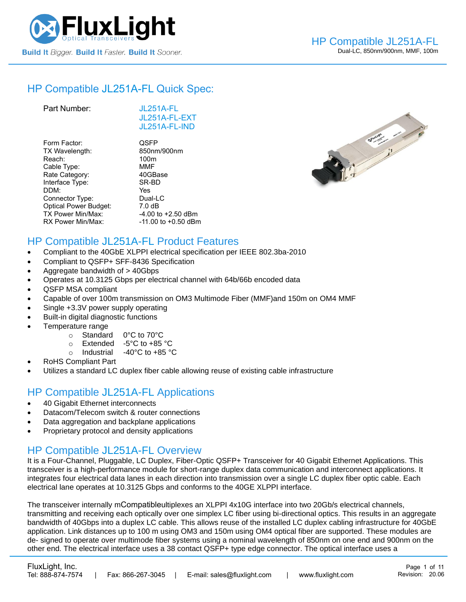

## HP Compatible [JL251A-FL](https://www.fluxlight.com/) Quick Spec:

| Part Number:                 | JL251A-FL<br>JL251A-FL-EXT<br>JL251A-FL-IND |
|------------------------------|---------------------------------------------|
| Form Factor:                 | <b>OSFP</b>                                 |
| TX Wavelength:               | 850nm/900nm                                 |
| Reach:                       | 100m                                        |
| Cable Type:                  | MMF                                         |
| Rate Category:               | 40GBase                                     |
| Interface Type:              | SR-BD                                       |
| DDM:                         | Yes                                         |
| Connector Type:              | Dual-LC                                     |
| <b>Optical Power Budget:</b> | $7.0 \text{ dB}$                            |
| TX Power Min/Max:            | $-4.00$ to $+2.50$ dBm                      |
| RX Power Min/Max:            | $-11.00$ to $+0.50$ dBm                     |



## HP Compatible [JL251A-FL](https://www.fluxlight.com/) Product Features

- Compliant to the 40GbE XLPPI electrical specification per IEEE 802.3ba-2010
- Compliant to QSFP+ SFF-8436 Specification
- Aggregate bandwidth of > 40Gbps
- Operates at 10.3125 Gbps per electrical channel with 64b/66b encoded data
- QSFP MSA compliant
- Capable of over 100m transmission on OM3 Multimode Fiber (MMF)and 150m on OM4 MMF
- Single +3.3V power supply operating
- Built-in digital diagnostic functions
- Temperature range
	- o Standard 0°C to 70°C
	- o Extended -5°C to +85 °C
	- o Industrial -40°C to +85 °C
- RoHS Compliant Part
- Utilizes a standard LC duplex fiber cable allowing reuse of existing cable infrastructure

## HP Compatible [JL251A-FL](https://www.fluxlight.com/) Applications

- 40 Gigabit Ethernet interconnects
- Datacom/Telecom switch & router connections
- Data aggregation and backplane applications
- Proprietary protocol and density applications

## HP Compatible [JL251A-FL](https://www.fluxlight.com/) Overview

It is a Four-Channel, Pluggable, LC Duplex, Fiber-Optic QSFP+ Transceiver for 40 Gigabit Ethernet Applications. This transceiver is a high-performance module for short-range duplex data communication and interconnect applications. It integrates four electrical data lanes in each direction into transmission over a single LC duplex fiber optic cable. Each electrical lane operates at 10.3125 Gbps and conforms to the 40GE XLPPI interface.

The transceiver internally mCompatibleultiplexes an XLPPI 4x10G interface into two 20Gb/s electrical channels, transmitting and receiving each optically over one simplex LC fiber using bi-directional optics. This results in an aggregate bandwidth of 40Gbps into a duplex LC cable. This allows reuse of the installed LC duplex cabling infrastructure for 40GbE application. Link distances up to 100 m using OM3 and 150m using OM4 optical fiber are supported. These modules are de- signed to operate over multimode fiber systems using a nominal wavelength of 850nm on one end and 900nm on the other end. The electrical interface uses a 38 contact QSFP+ type edge connector. The optical interface uses a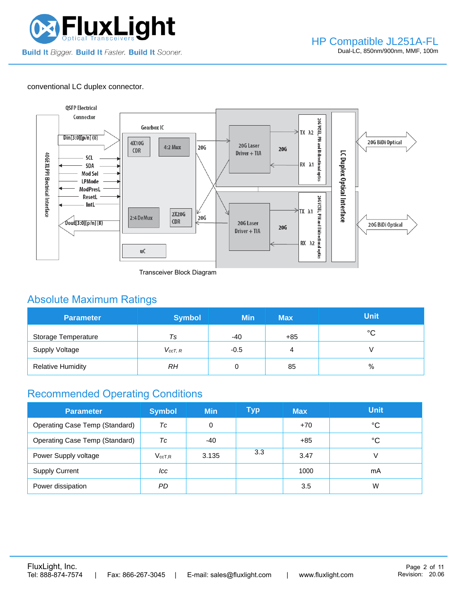

#### conventional LC duplex connector.



Transceiver Block Diagram

## Absolute Maximum Ratings

| <b>Parameter</b>           | <b>Symbol</b> | <b>Min</b> | <b>Max</b> | <b>Unit</b> |
|----------------------------|---------------|------------|------------|-------------|
| <b>Storage Temperature</b> | Ts            | $-40$      | $+85$      | °C          |
| Supply Voltage             | $V_{ccT, R}$  | $-0.5$     | 4          |             |
| <b>Relative Humidity</b>   | RН            |            | 85         | %           |

## Recommended Operating Conditions

| <b>Parameter</b>                      | <b>Symbol</b>   | <b>Min</b> | Typ | <b>Max</b> | <b>Unit</b> |
|---------------------------------------|-----------------|------------|-----|------------|-------------|
| <b>Operating Case Temp (Standard)</b> | Тc              | 0          |     | $+70$      | °C          |
| Operating Case Temp (Standard)        | Тc              | -40        |     | $+85$      | °C          |
| Power Supply voltage                  | $V_{\rm ccT,R}$ | 3.135      | 3.3 | 3.47       |             |
| <b>Supply Current</b>                 | lcc             |            |     | 1000       | mA          |
| Power dissipation                     | PD.             |            |     | 3.5        | W           |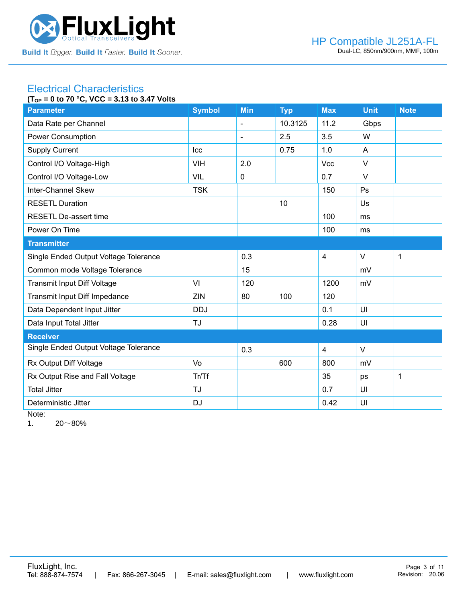

#### Electrical Characteristics **(TOP = 0 to 70 °C, VCC = 3.13 to 3.47 Volts**

| (1 OP = 0 to 70 U, VUU = 3.13 to 3.47 VOItS<br><b>Parameter</b> | <b>Symbol</b> | <b>Min</b> | <b>Typ</b> | <b>Max</b>     | <b>Unit</b> | <b>Note</b>  |  |
|-----------------------------------------------------------------|---------------|------------|------------|----------------|-------------|--------------|--|
| Data Rate per Channel                                           |               | ä,         | 10.3125    | 11.2           | Gbps        |              |  |
| <b>Power Consumption</b>                                        |               | ÷          | 2.5        | 3.5            | W           |              |  |
| <b>Supply Current</b>                                           | Icc           |            | 0.75       | 1.0            | A           |              |  |
| Control I/O Voltage-High                                        | <b>VIH</b>    | 2.0        |            | Vcc            | $\vee$      |              |  |
| Control I/O Voltage-Low                                         | <b>VIL</b>    | 0          |            | 0.7            | $\vee$      |              |  |
| Inter-Channel Skew                                              | <b>TSK</b>    |            |            | 150            | Ps          |              |  |
| <b>RESETL Duration</b>                                          |               |            | 10         |                | Us          |              |  |
| <b>RESETL De-assert time</b>                                    |               |            |            | 100            | ms          |              |  |
| Power On Time                                                   |               |            |            | 100            | ms          |              |  |
| <b>Transmitter</b>                                              |               |            |            |                |             |              |  |
| Single Ended Output Voltage Tolerance                           |               | 0.3        |            | $\overline{4}$ | $\vee$      | 1            |  |
| Common mode Voltage Tolerance                                   |               | 15         |            |                | mV          |              |  |
| <b>Transmit Input Diff Voltage</b>                              | VI            | 120        |            | 1200           | mV          |              |  |
| Transmit Input Diff Impedance                                   | ZIN           | 80         | 100        | 120            |             |              |  |
| Data Dependent Input Jitter                                     | <b>DDJ</b>    |            |            | 0.1            | UI          |              |  |
| Data Input Total Jitter                                         | <b>TJ</b>     |            |            | 0.28           | UI          |              |  |
| <b>Receiver</b>                                                 |               |            |            |                |             |              |  |
| Single Ended Output Voltage Tolerance                           |               | 0.3        |            | $\overline{4}$ | $\vee$      |              |  |
| Rx Output Diff Voltage                                          | Vo            |            | 600        | 800            | mV          |              |  |
| Rx Output Rise and Fall Voltage                                 | Tr/Tf         |            |            | 35             | ps          | $\mathbf{1}$ |  |
| <b>Total Jitter</b>                                             | <b>TJ</b>     |            |            | 0.7            | UI          |              |  |
| Deterministic Jitter                                            | <b>DJ</b>     |            |            | 0.42           | UI          |              |  |

Note:

1.  $20~80\%$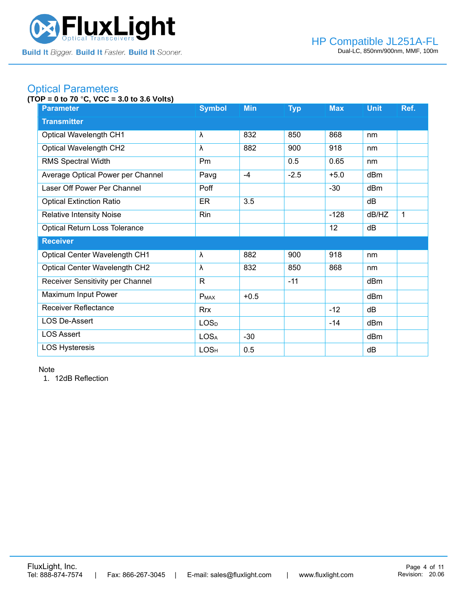

## Optical Parameters

#### **(TOP = 0 to 70** °**C, VCC = 3.0 to 3.6 Volts)**

| <b>Parameter</b>                     | <b>Symbol</b>    | <b>Min</b> | <b>Typ</b> | <b>Max</b> | <b>Unit</b> | Ref. |  |  |  |
|--------------------------------------|------------------|------------|------------|------------|-------------|------|--|--|--|
| <b>Transmitter</b>                   |                  |            |            |            |             |      |  |  |  |
| <b>Optical Wavelength CH1</b>        | λ                | 832        | 850        | 868        | nm          |      |  |  |  |
| <b>Optical Wavelength CH2</b>        | $\lambda$        | 882        | 900        | 918        | nm          |      |  |  |  |
| <b>RMS Spectral Width</b>            | Pm               |            | 0.5        | 0.65       | nm          |      |  |  |  |
| Average Optical Power per Channel    | Pavg             | $-4$       | $-2.5$     | $+5.0$     | dBm         |      |  |  |  |
| Laser Off Power Per Channel          | Poff             |            |            | $-30$      | dBm         |      |  |  |  |
| <b>Optical Extinction Ratio</b>      | ER               | 3.5        |            |            | dB          |      |  |  |  |
| <b>Relative Intensity Noise</b>      | Rin              |            |            | $-128$     | dB/HZ       | 1    |  |  |  |
| <b>Optical Return Loss Tolerance</b> |                  |            |            | 12         | dB          |      |  |  |  |
| <b>Receiver</b>                      |                  |            |            |            |             |      |  |  |  |
| <b>Optical Center Wavelength CH1</b> | $\lambda$        | 882        | 900        | 918        | nm          |      |  |  |  |
| Optical Center Wavelength CH2        | λ                | 832        | 850        | 868        | nm          |      |  |  |  |
| Receiver Sensitivity per Channel     | R                |            | $-11$      |            | dBm         |      |  |  |  |
| Maximum Input Power                  | $P_{MAX}$        | $+0.5$     |            |            | dBm         |      |  |  |  |
| <b>Receiver Reflectance</b>          | <b>Rrx</b>       |            |            | $-12$      | dB          |      |  |  |  |
| <b>LOS De-Assert</b>                 | LOS <sub>D</sub> |            |            | $-14$      | dBm         |      |  |  |  |
| <b>LOS Assert</b>                    | <b>LOSA</b>      | $-30$      |            |            | dBm         |      |  |  |  |
| <b>LOS Hysteresis</b>                | LOS <sub>H</sub> | 0.5        |            |            | dB          |      |  |  |  |

Note

1. 12dB Reflection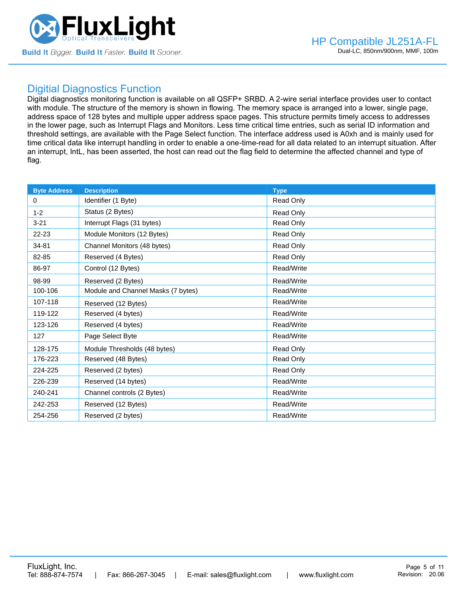

### Digitial Diagnostics Function

Digital diagnostics monitoring function is available on all QSFP+ SRBD. A 2-wire serial interface provides user to contact with module. The structure of the memory is shown in flowing. The memory space is arranged into a lower, single page, address space of 128 bytes and multiple upper address space pages. This structure permits timely access to addresses in the lower page, such as Interrupt Flags and Monitors. Less time critical time entries, such as serial ID information and threshold settings, are available with the Page Select function. The interface address used is A0xh and is mainly used for time critical data like interrupt handling in order to enable a one-time-read for all data related to an interrupt situation. After an interrupt, IntL, has been asserted, the host can read out the flag field to determine the affected channel and type of flag.

| <b>Byte Address</b> | <b>Description</b>                 | <b>Type</b> |
|---------------------|------------------------------------|-------------|
| 0                   | Identifier (1 Byte)                | Read Only   |
| $1 - 2$             | Status (2 Bytes)                   | Read Only   |
| $3 - 21$            | Interrupt Flags (31 bytes)         | Read Only   |
| 22-23               | Module Monitors (12 Bytes)         | Read Only   |
| 34-81               | Channel Monitors (48 bytes)        | Read Only   |
| 82-85               | Reserved (4 Bytes)                 | Read Only   |
| 86-97               | Control (12 Bytes)                 | Read/Write  |
| 98-99               | Reserved (2 Bytes)                 | Read/Write  |
| 100-106             | Module and Channel Masks (7 bytes) | Read/Write  |
| 107-118             | Reserved (12 Bytes)                | Read/Write  |
| 119-122             | Reserved (4 bytes)                 | Read/Write  |
| 123-126             | Reserved (4 bytes)                 | Read/Write  |
| 127                 | Page Select Byte                   | Read/Write  |
| 128-175             | Module Thresholds (48 bytes)       | Read Only   |
| 176-223             | Reserved (48 Bytes)                | Read Only   |
| 224-225             | Reserved (2 bytes)                 | Read Only   |
| 226-239             | Reserved (14 bytes)                | Read/Write  |
| 240-241             | Channel controls (2 Bytes)         | Read/Write  |
| 242-253             | Reserved (12 Bytes)                | Read/Write  |
| 254-256             | Reserved (2 bytes)                 | Read/Write  |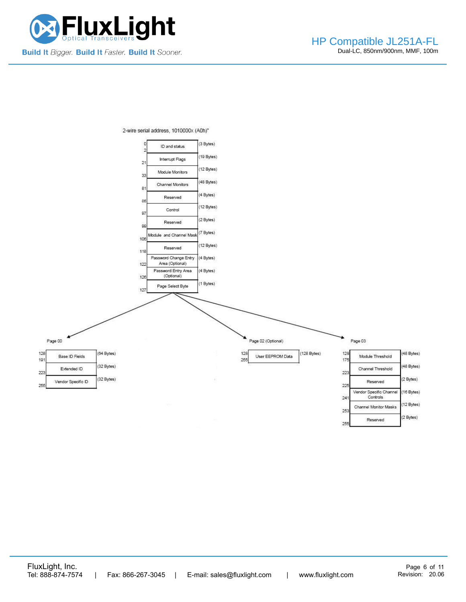



2-wire serial address, 1010000x (A0h)"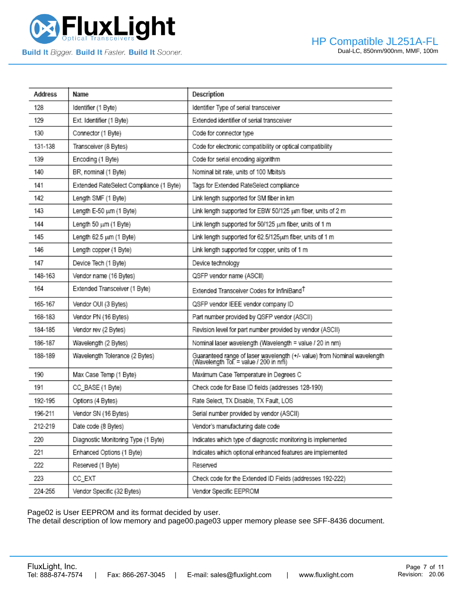

| <b>Address</b> | Name                                    | Description                                                                                                       |
|----------------|-----------------------------------------|-------------------------------------------------------------------------------------------------------------------|
| 128            | Identifier (1 Byte)                     | Identifier Type of serial transceiver                                                                             |
| 129            | Ext. Identifier (1 Byte)                | Extended identifier of serial transceiver                                                                         |
| 130            | Connector (1 Byte)                      | Code for connector type                                                                                           |
| 131-138        | Transceiver (8 Bytes)                   | Code for electronic compatibility or optical compatibility                                                        |
| 139            | Encoding (1 Byte)                       | Code for serial encoding algorithm                                                                                |
| 140            | BR, nominal (1 Byte)                    | Nominal bit rate, units of 100 Mbits/s                                                                            |
| 141            | Extended RateSelect Compliance (1 Byte) | Tags for Extended RateSelect compliance                                                                           |
| 142            | Length SMF (1 Byte)                     | Link length supported for SM fiber in km                                                                          |
| 143            | Length E-50 µm (1 Byte)                 | Link length supported for EBW 50/125 um fiber, units of 2 m                                                       |
| 144            | Length 50 um (1 Byte)                   | Link length supported for 50/125 um fiber, units of 1 m                                                           |
| 145            | Length 62.5 um (1 Byte)                 | Link length supported for 62.5/125um fiber, units of 1 m                                                          |
| 146            | Length copper (1 Byte)                  | Link length supported for copper, units of 1 m                                                                    |
| 147            | Device Tech (1 Byte)                    | Device technology                                                                                                 |
| 148-163        | Vendor name (16 Bytes)                  | QSFP vendor name (ASCII)                                                                                          |
| 164            | Extended Transceiver (1 Byte)           | Extended Transceiver Codes for InfiniBand <sup>T</sup>                                                            |
| 165-167        | Vendor OUI (3 Bytes)                    | QSFP vendor IEEE vendor company ID                                                                                |
| 168-183        | Vendor PN (16 Bytes)                    | Part number provided by QSFP vendor (ASCII)                                                                       |
| 184-185        | Vendor rev (2 Bytes)                    | Revision level for part number provided by vendor (ASCII)                                                         |
| 186-187        | Wavelength (2 Bytes)                    | Nominal laser wavelength (Wavelength = value / 20 in nm)                                                          |
| 188-189        | Wavelength Tolerance (2 Bytes)          | Guaranteed range of laser wavelength (+/- value) from Nominal wavelength<br>(Wavelength Tol. = value / 200 in nm) |
| 190            | Max Case Temp (1 Byte)                  | Maximum Case Temperature in Degrees C                                                                             |
| 191            | CC_BASE (1 Byte)                        | Check code for Base ID fields (addresses 128-190)                                                                 |
| 192-195        | Options (4 Bytes)                       | Rate Select, TX Disable, TX Fault, LOS                                                                            |
| 196-211        | Vendor SN (16 Bytes)                    | Serial number provided by vendor (ASCII)                                                                          |
| 212-219        | Date code (8 Bytes)                     | Vendor's manufacturing date code                                                                                  |
| 220            | Diagnostic Monitoring Type (1 Byte)     | Indicates which type of diagnostic monitoring is implemented                                                      |
| 221            | Enhanced Options (1 Byte)               | Indicates which optional enhanced features are implemented                                                        |
| 222            | Reserved (1 Byte)                       | Reserved                                                                                                          |
| 223            | CC_EXT                                  | Check code for the Extended ID Fields (addresses 192-222)                                                         |
| 224-255        | Vendor Specific (32 Bytes)              | Vendor Specific EEPROM                                                                                            |

Page02 is User EEPROM and its format decided by user.

The detail description of low memory and page00.page03 upper memory please see SFF-8436 document.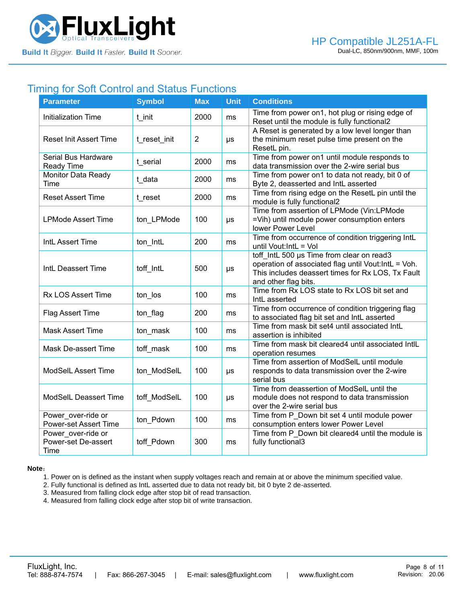

## Timing for Soft Control and Status Functions

| <b>Parameter</b>                                   | <b>Symbol</b> | Max            | <b>Unit</b> | <b>Conditions</b>                                                                                                                                                              |
|----------------------------------------------------|---------------|----------------|-------------|--------------------------------------------------------------------------------------------------------------------------------------------------------------------------------|
| <b>Initialization Time</b>                         | t init        | 2000           | ms          | Time from power on1, hot plug or rising edge of<br>Reset until the module is fully functional2                                                                                 |
| <b>Reset Init Assert Time</b>                      | t reset init  | $\overline{2}$ | $\mu s$     | A Reset is generated by a low level longer than<br>the minimum reset pulse time present on the<br>ResetL pin.                                                                  |
| Serial Bus Hardware<br><b>Ready Time</b>           | t_serial      | 2000           | ms          | Time from power on1 until module responds to<br>data transmission over the 2-wire serial bus                                                                                   |
| Monitor Data Ready<br>Time                         | t data        | 2000           | ms          | Time from power on1 to data not ready, bit 0 of<br>Byte 2, deasserted and IntL asserted                                                                                        |
| <b>Reset Assert Time</b>                           | t reset       | 2000           | ms          | Time from rising edge on the ResetL pin until the<br>module is fully functional2                                                                                               |
| <b>LPMode Assert Time</b>                          | ton LPMode    | 100            | $\mu s$     | Time from assertion of LPMode (Vin:LPMode<br>=Vih) until module power consumption enters<br>lower Power Level                                                                  |
| IntL Assert Time                                   | ton_IntL      | 200            | ms          | Time from occurrence of condition triggering IntL<br>until Vout: IntL = Vol                                                                                                    |
| IntL Deassert Time                                 | toff IntL     | 500            | $\mu s$     | toff IntL 500 µs Time from clear on read3<br>operation of associated flag until Vout: IntL = Voh.<br>This includes deassert times for Rx LOS, Tx Fault<br>and other flag bits. |
| Rx LOS Assert Time                                 | ton los       | 100            | ms          | Time from Rx LOS state to Rx LOS bit set and<br>IntL asserted                                                                                                                  |
| Flag Assert Time                                   | ton_flag      | 200            | ms          | Time from occurrence of condition triggering flag<br>to associated flag bit set and IntL asserted                                                                              |
| <b>Mask Assert Time</b>                            | ton mask      | 100            | ms          | Time from mask bit set4 until associated IntL<br>assertion is inhibited                                                                                                        |
| Mask De-assert Time                                | toff mask     | 100            | ms          | Time from mask bit cleared4 until associated IntlL<br>operation resumes                                                                                                        |
| <b>ModSelL Assert Time</b>                         | ton ModSelL   | 100            | $\mu s$     | Time from assertion of ModSelL until module<br>responds to data transmission over the 2-wire<br>serial bus                                                                     |
| ModSelL Deassert Time                              | toff ModSelL  | 100            | $\mu s$     | Time from deassertion of ModSelL until the<br>module does not respond to data transmission<br>over the 2-wire serial bus                                                       |
| Power over-ride or<br><b>Power-set Assert Time</b> | ton Pdown     | 100            | ms          | Time from P Down bit set 4 until module power<br>consumption enters lower Power Level                                                                                          |
| Power over-ride or<br>Power-set De-assert<br>Time  | toff_Pdown    | 300            | ms          | Time from P Down bit cleared4 until the module is<br>fully functional3                                                                                                         |

**Note**:

1. Power on is defined as the instant when supply voltages reach and remain at or above the minimum specified value.

- 2. Fully functional is defined as IntL asserted due to data not ready bit, bit 0 byte 2 de-asserted.
- 3. Measured from falling clock edge after stop bit of read transaction.
- 4. Measured from falling clock edge after stop bit of write transaction.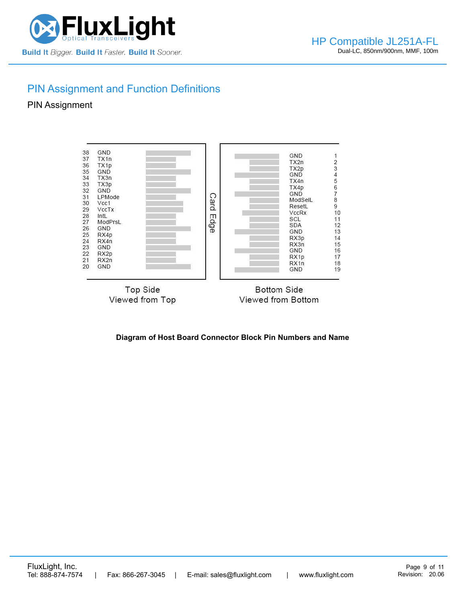

# PIN Assignment and Function Definitions

#### PIN Assignment



#### **Diagram of Host Board Connector Block Pin Numbers and Name**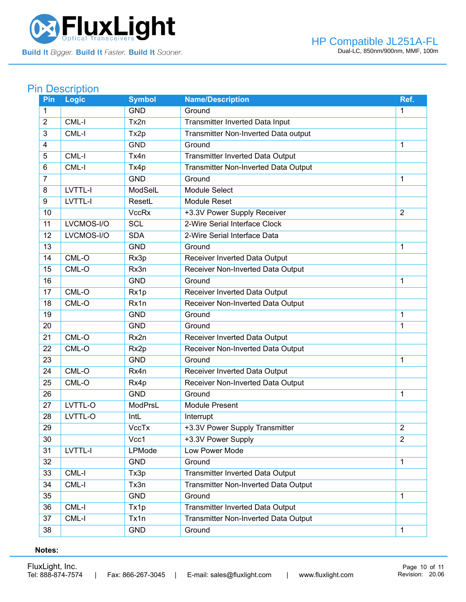

# **Pin Description**

| <b>Logic</b> | <b>Symbol</b> | <b>Name/Description</b>                     | Ref.           |
|--------------|---------------|---------------------------------------------|----------------|
|              | <b>GND</b>    | Ground                                      | 1              |
| CML-I        | Tx2n          | Transmitter Inverted Data Input             |                |
| CML-I        | Tx2p          | Transmitter Non-Inverted Data output        |                |
|              | <b>GND</b>    | Ground                                      | $\mathbf{1}$   |
| CML-I        | Tx4n          | Transmitter Inverted Data Output            |                |
| CML-I        | Tx4p          | <b>Transmitter Non-Inverted Data Output</b> |                |
|              | <b>GND</b>    | Ground                                      | 1              |
| LVTTL-I      | ModSelL       | Module Select                               |                |
| LVTTL-I      | ResetL        | <b>Module Reset</b>                         |                |
|              | <b>VccRx</b>  | +3.3V Power Supply Receiver                 | $\overline{2}$ |
| LVCMOS-I/O   | <b>SCL</b>    | 2-Wire Serial Interface Clock               |                |
| LVCMOS-I/O   | <b>SDA</b>    | 2-Wire Serial Interface Data                |                |
|              | <b>GND</b>    | Ground                                      | $\mathbf{1}$   |
| CML-O        | Rx3p          | Receiver Inverted Data Output               |                |
| CML-O        | Rx3n          | Receiver Non-Inverted Data Output           |                |
|              | <b>GND</b>    | Ground                                      | 1              |
| CML-O        | Rx1p          | Receiver Inverted Data Output               |                |
| CML-O        | Rx1n          | Receiver Non-Inverted Data Output           |                |
|              | <b>GND</b>    | Ground                                      | $\mathbf{1}$   |
|              | <b>GND</b>    | Ground                                      | 1              |
| CML-O        | Rx2n          | Receiver Inverted Data Output               |                |
| CML-O        | Rx2p          | Receiver Non-Inverted Data Output           |                |
|              | <b>GND</b>    | Ground                                      | 1              |
| CML-O        | Rx4n          | Receiver Inverted Data Output               |                |
| CML-O        | Rx4p          | Receiver Non-Inverted Data Output           |                |
|              | <b>GND</b>    | Ground                                      | 1              |
| LVTTL-O      | ModPrsL       | <b>Module Present</b>                       |                |
| LVTTL-O      | IntL          | Interrupt                                   |                |
|              | <b>VccTx</b>  | +3.3V Power Supply Transmitter              | $\overline{2}$ |
|              | Vcc1          | +3.3V Power Supply                          | 2              |
| LVTTL-I      | LPMode        | Low Power Mode                              |                |
|              | <b>GND</b>    | Ground                                      | $\mathbf{1}$   |
| CML-I        | Tx3p          | <b>Transmitter Inverted Data Output</b>     |                |
| CML-I        | Tx3n          | Transmitter Non-Inverted Data Output        |                |
|              | <b>GND</b>    | Ground                                      | $\mathbf{1}$   |
| CML-I        | Tx1p          | <b>Transmitter Inverted Data Output</b>     |                |
| CML-I        | Tx1n          | <b>Transmitter Non-Inverted Data Output</b> |                |
|              | <b>GND</b>    | Ground                                      | $\mathbf{1}$   |
|              |               |                                             |                |

#### **Notes:**